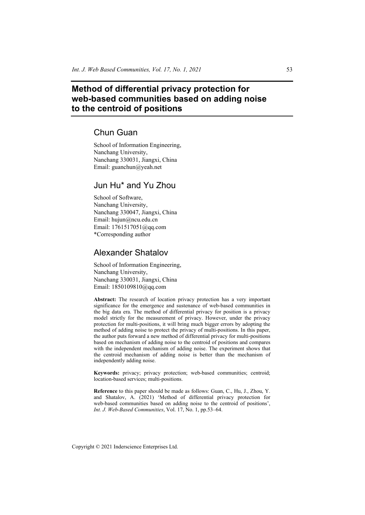# **Method of differential privacy protection for web-based communities based on adding noise to the centroid of positions**

## Chun Guan

School of Information Engineering, Nanchang University, Nanchang 330031, Jiangxi, China Email: guanchun@yeah.net

## Jun Hu\* and Yu Zhou

School of Software, Nanchang University, Nanchang 330047, Jiangxi, China Email: hujun@ncu.edu.cn Email: 1761517051@qq.com \*Corresponding author

## Alexander Shatalov

School of Information Engineering, Nanchang University, Nanchang 330031, Jiangxi, China Email: 1850109810@qq.com

**Abstract:** The research of location privacy protection has a very important significance for the emergence and sustenance of web-based communities in the big data era. The method of differential privacy for position is a privacy model strictly for the measurement of privacy. However, under the privacy protection for multi-positions, it will bring much bigger errors by adopting the method of adding noise to protect the privacy of multi-positions. In this paper, the author puts forward a new method of differential privacy for multi-positions based on mechanism of adding noise to the centroid of positions and compares with the independent mechanism of adding noise. The experiment shows that the centroid mechanism of adding noise is better than the mechanism of independently adding noise.

**Keywords:** privacy; privacy protection; web-based communities; centroid; location-based services; multi-positions.

**Reference** to this paper should be made as follows: Guan, C., Hu, J., Zhou, Y. and Shatalov, A. (2021) 'Method of differential privacy protection for web-based communities based on adding noise to the centroid of positions', *Int. J. Web-Based Communities*, Vol. 17, No. 1, pp.53–64.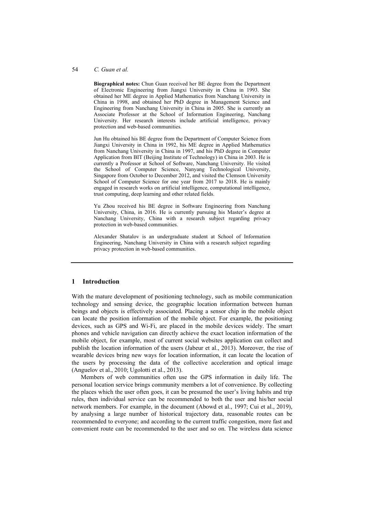#### 54 *C. Guan et al.*

**Biographical notes:** Chun Guan received her BE degree from the Department of Electronic Engineering from Jiangxi University in China in 1993. She obtained her ME degree in Applied Mathematics from Nanchang University in China in 1998, and obtained her PhD degree in Management Science and Engineering from Nanchang University in China in 2005. She is currently an Associate Professor at the School of Information Engineering, Nanchang University. Her research interests include artificial intelligence, privacy protection and web-based communities.

Jun Hu obtained his BE degree from the Department of Computer Science from Jiangxi University in China in 1992, his ME degree in Applied Mathematics from Nanchang University in China in 1997, and his PhD degree in Computer Application from BIT (Beijing Institute of Technology) in China in 2003. He is currently a Professor at School of Software, Nanchang University. He visited the School of Computer Science, Nanyang Technological University, Singapore from October to December 2012, and visited the Clemson University School of Computer Science for one year from 2017 to 2018. He is mainly engaged in research works on artificial intelligence, computational intelligence, trust computing, deep learning and other related fields.

Yu Zhou received his BE degree in Software Engineering from Nanchang University, China, in 2016. He is currently pursuing his Master's degree at Nanchang University, China with a research subject regarding privacy protection in web-based communities.

Alexander Shatalov is an undergraduate student at School of Information Engineering, Nanchang University in China with a research subject regarding privacy protection in web-based communities.

## **1 Introduction**

With the mature development of positioning technology, such as mobile communication technology and sensing device, the geographic location information between human beings and objects is effectively associated. Placing a sensor chip in the mobile object can locate the position information of the mobile object. For example, the positioning devices, such as GPS and Wi-Fi, are placed in the mobile devices widely. The smart phones and vehicle navigation can directly achieve the exact location information of the mobile object, for example, most of current social websites application can collect and publish the location information of the users (Jabeur et al., 2013). Moreover, the rise of wearable devices bring new ways for location information, it can locate the location of the users by processing the data of the collective acceleration and optical image (Anguelov et al., 2010; Ugolotti et al., 2013).

Members of web communities often use the GPS information in daily life. The personal location service brings community members a lot of convenience. By collecting the places which the user often goes, it can be presumed the user's living habits and trip rules, then individual service can be recommended to both the user and his/her social network members. For example, in the document (Abowd et al., 1997; Cui et al., 2019), by analysing a large number of historical trajectory data, reasonable routes can be recommended to everyone; and according to the current traffic congestion, more fast and convenient route can be recommended to the user and so on. The wireless data science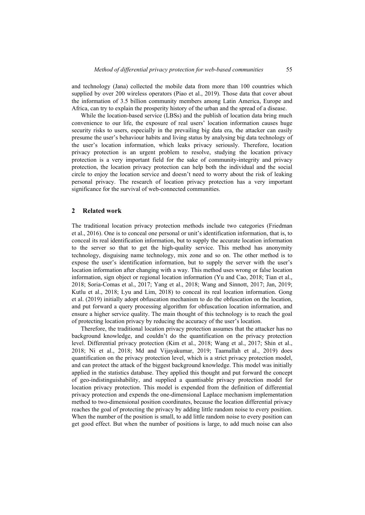and technology (Jana) collected the mobile data from more than 100 countries which supplied by over 200 wireless operators (Piao et al., 2019). Those data that cover about the information of 3.5 billion community members among Latin America, Europe and Africa, can try to explain the prosperity history of the urban and the spread of a disease.

While the location-based service (LBSs) and the publish of location data bring much convenience to our life, the exposure of real users' location information causes huge security risks to users, especially in the prevailing big data era, the attacker can easily presume the user's behaviour habits and living status by analysing big data technology of the user's location information, which leaks privacy seriously. Therefore, location privacy protection is an urgent problem to resolve, studying the location privacy protection is a very important field for the sake of community-integrity and privacy protection, the location privacy protection can help both the individual and the social circle to enjoy the location service and doesn't need to worry about the risk of leaking personal privacy. The research of location privacy protection has a very important significance for the survival of web-connected communities.

### **2 Related work**

The traditional location privacy protection methods include two categories (Friedman et al., 2016). One is to conceal one personal or unit's identification information, that is, to conceal its real identification information, but to supply the accurate location information to the server so that to get the high-quality service. This method has anonymity technology, disguising name technology, mix zone and so on. The other method is to expose the user's identification information, but to supply the server with the user's location information after changing with a way. This method uses wrong or false location information, sign object or regional location information (Yu and Cao, 2018; Tian et al., 2018; Soria-Comas et al., 2017; Yang et al., 2018; Wang and Sinnott, 2017; Jan, 2019; Kutlu et al., 2018; Lyu and Lim, 2018) to conceal its real location information. Gong et al. (2019) initially adopt obfuscation mechanism to do the obfuscation on the location, and put forward a query processing algorithm for obfuscation location information, and ensure a higher service quality. The main thought of this technology is to reach the goal of protecting location privacy by reducing the accuracy of the user's location.

Therefore, the traditional location privacy protection assumes that the attacker has no background knowledge, and couldn't do the quantification on the privacy protection level. Differential privacy protection (Kim et al., 2018; Wang et al., 2017; Shin et al., 2018; Ni et al., 2018; Md and Vijayakumar, 2019; Taamallah et al., 2019) does quantification on the privacy protection level, which is a strict privacy protection model, and can protect the attack of the biggest background knowledge. This model was initially applied in the statistics database. They applied this thought and put forward the concept of geo-indistinguishability, and supplied a quantisable privacy protection model for location privacy protection. This model is expended from the definition of differential privacy protection and expends the one-dimensional Laplace mechanism implementation method to two-dimensional position coordinates, because the location differential privacy reaches the goal of protecting the privacy by adding little random noise to every position. When the number of the position is small, to add little random noise to every position can get good effect. But when the number of positions is large, to add much noise can also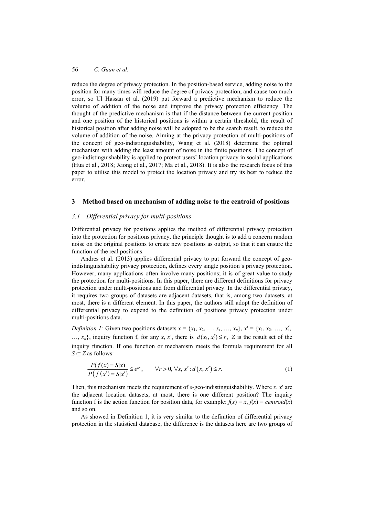reduce the degree of privacy protection. In the position-based service, adding noise to the position for many times will reduce the degree of privacy protection, and cause too much error, so Ul Hassan et al. (2019) put forward a predictive mechanism to reduce the volume of addition of the noise and improve the privacy protection efficiency. The thought of the predictive mechanism is that if the distance between the current position and one position of the historical positions is within a certain threshold, the result of historical position after adding noise will be adopted to be the search result, to reduce the volume of addition of the noise. Aiming at the privacy protection of multi-positions of the concept of geo-indistinguishability, Wang et al. (2018) determine the optimal mechanism with adding the least amount of noise in the finite positions. The concept of geo-indistinguishability is applied to protect users' location privacy in social applications (Hua et al., 2018; Xiong et al., 2017; Ma et al., 2018). It is also the research focus of this paper to utilise this model to protect the location privacy and try its best to reduce the error.

## **3 Method based on mechanism of adding noise to the centroid of positions**

## *3.1 Differential privacy for multi-positions*

Differential privacy for positions applies the method of differential privacy protection into the protection for positions privacy, the principle thought is to add a concern random noise on the original positions to create new positions as output, so that it can ensure the function of the real positions.

Andres et al. (2013) applies differential privacy to put forward the concept of geoindistinguishability privacy protection, defines every single position's privacy protection. However, many applications often involve many positions; it is of great value to study the protection for multi-positions. In this paper, there are different definitions for privacy protection under multi-positions and from differential privacy. In the differential privacy, it requires two groups of datasets are adjacent datasets, that is, among two datasets, at most, there is a different element. In this paper, the authors still adopt the definition of differential privacy to expend to the definition of positions privacy protection under multi-positions data.

*Definition 1:* Given two positions datasets  $x = \{x_1, x_2, ..., x_i, ..., x_n\}$ ,  $x' = \{x_1, x_2, ..., x'_i, ...\}$ …,  $x_n$ , inquiry function f, for any *x*, *x'*, there is  $d(x_i, x'_i) \leq r$ , Z is the result set of the inquiry function. If one function or mechanism meets the formula requirement for all *S* ⊆ *Z* as follows:

$$
\frac{P(f(x) = S|x)}{P(f(x') = S|x')} \le e^{cr}, \qquad \forall r > 0, \forall x, x' : d(x, x') \le r.
$$
\n
$$
(1)
$$

Then, this mechanism meets the requirement of *ε*-geo-indistinguishability. Where *x*, *x*′ are the adjacent location datasets, at most, there is one different position? The inquiry function f is the action function for position data, for example:  $f(x) = x$ ,  $f(x) = centroid(x)$ and so on.

As showed in Definition 1, it is very similar to the definition of differential privacy protection in the statistical database, the difference is the datasets here are two groups of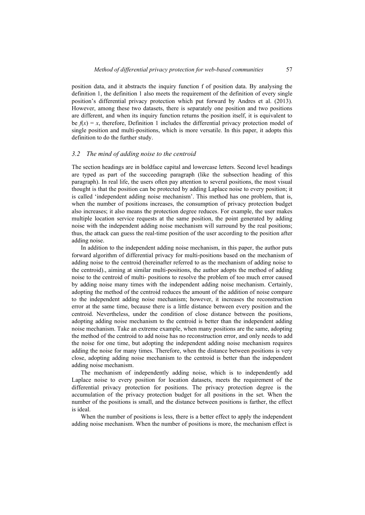position data, and it abstracts the inquiry function f of position data. By analysing the definition 1, the definition 1 also meets the requirement of the definition of every single position's differential privacy protection which put forward by Andres et al. (2013). However, among these two datasets, there is separately one position and two positions are different, and when its inquiry function returns the position itself, it is equivalent to be  $f(x) = x$ , therefore, Definition 1 includes the differential privacy protection model of single position and multi-positions, which is more versatile. In this paper, it adopts this definition to do the further study.

#### *3.2 The mind of adding noise to the centroid*

The section headings are in boldface capital and lowercase letters. Second level headings are typed as part of the succeeding paragraph (like the subsection heading of this paragraph). In real life, the users often pay attention to several positions, the most visual thought is that the position can be protected by adding Laplace noise to every position; it is called 'independent adding noise mechanism'. This method has one problem, that is, when the number of positions increases, the consumption of privacy protection budget also increases; it also means the protection degree reduces. For example, the user makes multiple location service requests at the same position, the point generated by adding noise with the independent adding noise mechanism will surround by the real positions; thus, the attack can guess the real-time position of the user according to the position after adding noise.

In addition to the independent adding noise mechanism, in this paper, the author puts forward algorithm of differential privacy for multi-positions based on the mechanism of adding noise to the centroid (hereinafter referred to as the mechanism of adding noise to the centroid)., aiming at similar multi-positions, the author adopts the method of adding noise to the centroid of multi- positions to resolve the problem of too much error caused by adding noise many times with the independent adding noise mechanism. Certainly, adopting the method of the centroid reduces the amount of the addition of noise compare to the independent adding noise mechanism; however, it increases the reconstruction error at the same time, because there is a little distance between every position and the centroid. Nevertheless, under the condition of close distance between the positions, adopting adding noise mechanism to the centroid is better than the independent adding noise mechanism. Take an extreme example, when many positions are the same, adopting the method of the centroid to add noise has no reconstruction error, and only needs to add the noise for one time, but adopting the independent adding noise mechanism requires adding the noise for many times. Therefore, when the distance between positions is very close, adopting adding noise mechanism to the centroid is better than the independent adding noise mechanism.

The mechanism of independently adding noise, which is to independently add Laplace noise to every position for location datasets, meets the requirement of the differential privacy protection for positions. The privacy protection degree is the accumulation of the privacy protection budget for all positions in the set. When the number of the positions is small, and the distance between positions is farther, the effect is ideal.

When the number of positions is less, there is a better effect to apply the independent adding noise mechanism. When the number of positions is more, the mechanism effect is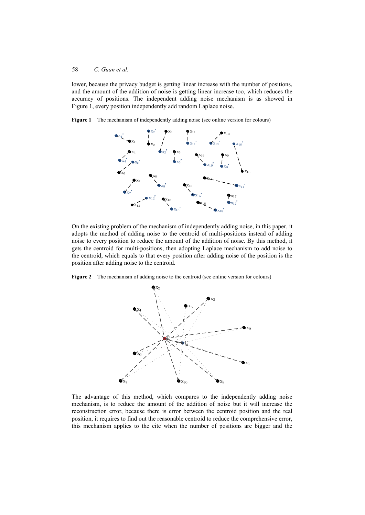lower, because the privacy budget is getting linear increase with the number of positions, and the amount of the addition of noise is getting linear increase too, which reduces the accuracy of positions. The independent adding noise mechanism is as showed in Figure 1, every position independently add random Laplace noise.



**Figure 1** The mechanism of independently adding noise (see online version for colours)

On the existing problem of the mechanism of independently adding noise, in this paper, it adopts the method of adding noise to the centroid of multi-positions instead of adding noise to every position to reduce the amount of the addition of noise. By this method, it gets the centroid for multi-positions, then adopting Laplace mechanism to add noise to the centroid, which equals to that every position after adding noise of the position is the position after adding noise to the centroid.

**Figure 2** The mechanism of adding noise to the centroid (see online version for colours)



The advantage of this method, which compares to the independently adding noise mechanism, is to reduce the amount of the addition of noise but it will increase the reconstruction error, because there is error between the centroid position and the real position, it requires to find out the reasonable centroid to reduce the comprehensive error, this mechanism applies to the cite when the number of positions are bigger and the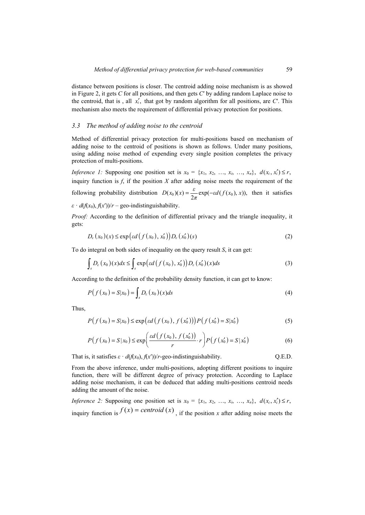distance between positions is closer. The centroid adding noise mechanism is as showed in Figure 2, it gets *C* for all positions, and then gets *C*′ by adding random Laplace noise to the centroid, that is, all  $x'_i$ , that got by random algorithm for all positions, are  $C'$ . This mechanism also meets the requirement of differential privacy protection for positions.

### *3.3 The method of adding noise to the centroid*

Method of differential privacy protection for multi-positions based on mechanism of adding noise to the centroid of positions is shown as follows. Under many positions, using adding noise method of expending every single position completes the privacy protection of multi-positions.

*Inference 1:* Supposing one position set is  $x_0 = \{x_1, x_2, ..., x_i, ..., x_n\}, d(x_i, x_i') \le r$ , inquiry function is f, if the position  $X$  after adding noise meets the requirement of the following probability distribution  $D(x_0)(x) = \frac{\varepsilon}{2\pi} \exp(-\varepsilon d(f(x_0), x))$ , then it satisfies  $\varepsilon$  ·  $d(f(x_0), f(x'))/r$  – geo-indistinguishability.

*Proof:* According to the definition of differential privacy and the triangle inequality, it gets:

$$
D_{\varepsilon}(x_0)(x) \le \exp\big(\varepsilon d\big(f(x_0), x'_0\big)\big) D_{\varepsilon}(x'_0)(s) \tag{2}
$$

To do integral on both sides of inequality on the query result *S*, it can get:

$$
\int_{s} D_{\varepsilon}(x_{0})(x)dx \leq \int_{s} \exp\big(\varepsilon d\big(f(x_{0}), x'_{0}\big)\big)D_{\varepsilon}(x'_{0})(x)dx\tag{3}
$$

According to the definition of the probability density function, it can get to know:

$$
P(f(x_0) = S|x_0) = \int_s D_{\varepsilon}(x_0)(x)ds
$$
\n(4)

Thus,

$$
P(f(x_0) = S|x_0) \le \exp\left(\varepsilon d\left(f(x_0), f(x'_0)\right)\right) P(f(x'_0) = S|x'_0)
$$
\n(5)

$$
P(f(x_0) = S | x_0) \le \exp\left(\frac{\varepsilon d(f(x_0), f(x'_0))}{r} \cdot r\right) P(f(x'_0) = S | x'_0)
$$
 (6)

That is, it satisfies  $\varepsilon \cdot d(f(x_0), f(x'))/r$ -geo-indistinguishability. Q.E.D.

From the above inference, under multi-positions, adopting different positions to inquire function, there will be different degree of privacy protection. According to Laplace adding noise mechanism, it can be deduced that adding multi-positions centroid needs adding the amount of the noise.

*Inference 2:* Supposing one position set is  $x_0 = \{x_1, x_2, ..., x_i, ..., x_n\}$ ,  $d(x_i, x'_i) \le r$ , inquiry function is  $f(x) = centroid(x)$ , if the position *x* after adding noise meets the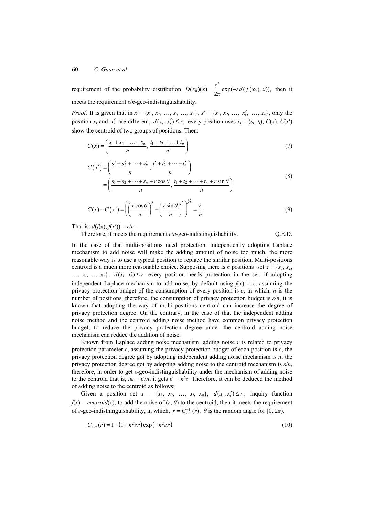requirement of the probability distribution  $D(x_0)(x) = \frac{\varepsilon^2}{2\pi} \exp(-\varepsilon d(f(x_0), x))$ , then it meets the requirement *ε*/*n*-geo-indistinguishability.

*Proof:* It is given that in  $x = \{x_1, x_2, ..., x_i, ..., x_n\}$ ,  $x' = \{x_1, x_2, ..., x_i', ..., x_n\}$ , only the position  $x_i$  and  $x'_i$  are different,  $d(x_i, x'_i) \le r$ , every position uses  $x_i = (s_i, t_i)$ ,  $C(x)$ ,  $C(x')$ show the centroid of two groups of positions. Then:

$$
C(x) = \left(\frac{s_1 + s_2 + \dots + s_n}{n}, \frac{t_1 + t_2 + \dots + t_n}{n}\right)
$$
 (7)

$$
C(x') = \left(\frac{s'_1 + s'_2 + \dots + s'_n}{n}, \frac{t'_1 + t'_2 + \dots + t'_n}{n}\right)
$$
  
=  $\left(\frac{s_1 + s_2 + \dots + s_n + r\cos\theta}{n}, \frac{t_1 + t_2 + \dots + t_n + r\sin\theta}{n}\right)$  (8)

$$
C(x) - C(x') = \left( \left( \frac{r \cos \theta}{n} \right)^2 + \left( \frac{r \sin \theta}{n} \right)^2 \right)^{\frac{1}{2}} = \frac{r}{n}
$$
(9)

That is:  $d(f(x), f(x')) = r/n$ .

Therefore, it meets the requirement *ε*/*n*-geo-indistinguishability. Q.E.D.

In the case of that multi-positions need protection, independently adopting Laplace mechanism to add noise will make the adding amount of noise too much, the more reasonable way is to use a typical position to replace the similar position. Multi-positions centroid is a much more reasonable choice. Supposing there is *n* positions' set  $x = \{x_1, x_2,$  $..., x_i, ..., x_n$ ,  $d(x_i, x'_i) \leq r$  every position needs protection in the set, if adopting independent Laplace mechanism to add noise, by default using  $f(x) = x$ , assuming the privacy protection budget of the consumption of every position is *ε*, in which, *n* is the number of positions, therefore, the consumption of privacy protection budget is  $\varepsilon/n$ , it is known that adopting the way of multi-positions centroid can increase the degree of privacy protection degree. On the contrary, in the case of that the independent adding noise method and the centroid adding noise method have common privacy protection budget, to reduce the privacy protection degree under the centroid adding noise mechanism can reduce the addition of noise.

Known from Laplace adding noise mechanism, adding noise *r* is related to privacy protection parameter *ε*, assuming the privacy protection budget of each position is *ε*, the privacy protection degree got by adopting independent adding noise mechanism is *n*; the privacy protection degree got by adopting adding noise to the centroid mechanism is *ε*/*n*, therefore, in order to get *ε*-geo-indistinguishability under the mechanism of adding noise to the centroid that is,  $n\varepsilon = \varepsilon'/n$ , it gets  $\varepsilon' = n^2\varepsilon$ . Therefore, it can be deduced the method of adding noise to the centroid as follows:

Given a position set  $x = \{x_1, x_2, ..., x_i, x_n\}$ ,  $d(x_i, x'_i) \leq r$ , inquiry function  $f(x) = centroid(x)$ , to add the noise of  $(r, \theta)$  to the centroid, then it meets the requirement of *ε*-geo-indisthinguishability, in which,  $r = C_{g,n}^{-1}(r)$ ,  $\theta$  is the random angle for [0, 2 $\pi$ ).

$$
C_{g,n}(r) = 1 - (1 + n^2 \varepsilon r) \exp(-n^2 \varepsilon r)
$$
\n(10)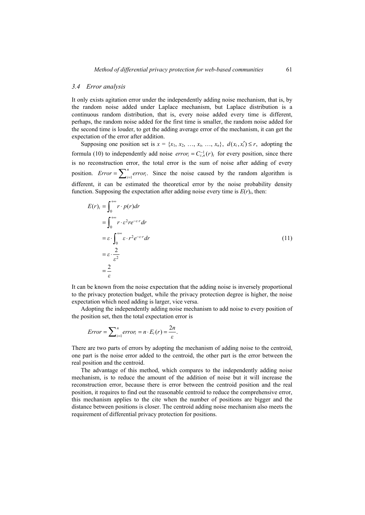#### *3.4 Error analysis*

It only exists agitation error under the independently adding noise mechanism, that is, by the random noise added under Laplace mechanism, but Laplace distribution is a continuous random distribution, that is, every noise added every time is different, perhaps, the random noise added for the first time is smaller, the random noise added for the second time is louder, to get the adding average error of the mechanism, it can get the expectation of the error after addition.

Supposing one position set is  $x = \{x_1, x_2, ..., x_i, ..., x_n\}$ ,  $d(x_i, x'_i) \leq r$ , adopting the formula (10) to independently add noise  $error_i = C_{\varepsilon,n}^{-1}(r)_i$  for every position, since there is no reconstruction error, the total error is the sum of noise after adding of every position. *Error* =  $\sum_{i=1}^{n} error_i$ . Since the noise caused by the random algorithm is different, it can be estimated the theoretical error by the noise probability density function. Supposing the expectation after adding noise every time is  $E(r)$ *i*, then:

$$
E(r)_i = \int_0^{+\infty} r \cdot p(r) dr
$$
  
\n
$$
= \int_0^{+\infty} r \cdot \varepsilon^2 r e^{-\varepsilon r} dr
$$
  
\n
$$
= \varepsilon \cdot \int_0^{+\infty} \varepsilon \cdot r^2 e^{-\varepsilon r} dr
$$
  
\n
$$
= \varepsilon \cdot \frac{2}{\varepsilon^2}
$$
  
\n
$$
= \frac{2}{\varepsilon}
$$
 (11)

It can be known from the noise expectation that the adding noise is inversely proportional to the privacy protection budget, while the privacy protection degree is higher, the noise expectation which need adding is larger, vice versa.

Adopting the independently adding noise mechanism to add noise to every position of the position set, then the total expectation error is

$$
Error = \sum_{i=1}^{n} error_i = n \cdot E_i(r) = \frac{2n}{\varepsilon}.
$$

There are two parts of errors by adopting the mechanism of adding noise to the centroid, one part is the noise error added to the centroid, the other part is the error between the real position and the centroid.

The advantage of this method, which compares to the independently adding noise mechanism, is to reduce the amount of the addition of noise but it will increase the reconstruction error, because there is error between the centroid position and the real position, it requires to find out the reasonable centroid to reduce the comprehensive error, this mechanism applies to the cite when the number of positions are bigger and the distance between positions is closer. The centroid adding noise mechanism also meets the requirement of differential privacy protection for positions.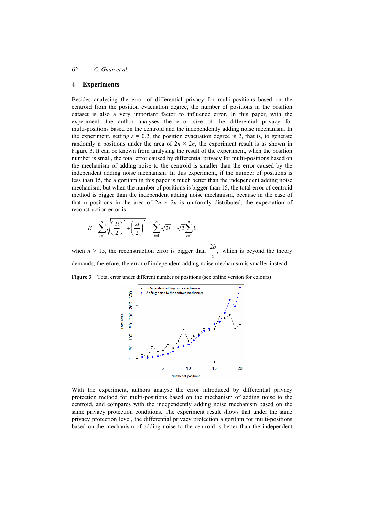## **4 Experiments**

Besides analysing the error of differential privacy for multi-positions based on the centroid from the position evacuation degree, the number of positions in the position dataset is also a very important factor to influence error. In this paper, with the experiment, the author analyses the error size of the differential privacy for multi-positions based on the centroid and the independently adding noise mechanism. In the experiment, setting  $\varepsilon = 0.2$ , the position evacuation degree is 2, that is, to generate randomly n positions under the area of  $2n \times 2n$ , the experiment result is as shown in Figure 3. It can be known from analysing the result of the experiment, when the position number is small, the total error caused by differential privacy for multi-positions based on the mechanism of adding noise to the centroid is smaller than the error caused by the independent adding noise mechanism. In this experiment, if the number of positions is less than 15, the algorithm in this paper is much better than the independent adding noise mechanism; but when the number of positions is bigger than 15, the total error of centroid method is bigger than the independent adding noise mechanism, because in the case of that n positions in the area of  $2n \times 2n$  is uniformly distributed, the expectation of reconstruction error is

$$
E = \sum_{i=1}^{n} \sqrt{\left(\frac{2i}{2}\right)^2 + \left(\frac{2i}{2}\right)^2} = \sum_{i=1}^{n} \sqrt{2i} = \sqrt{2} \sum_{i=1}^{n} i,
$$

when *n* > 15, the reconstruction error is bigger than  $\frac{2b}{\varepsilon}$ , which is beyond the theory demands, therefore, the error of independent adding noise mechanism is smaller instead.

**Figure 3** Total error under different number of positions (see online version for colours)



With the experiment, authors analyse the error introduced by differential privacy protection method for multi-positions based on the mechanism of adding noise to the centroid, and compares with the independently adding noise mechanism based on the same privacy protection conditions. The experiment result shows that under the same privacy protection level, the differential privacy protection algorithm for multi-positions based on the mechanism of adding noise to the centroid is better than the independent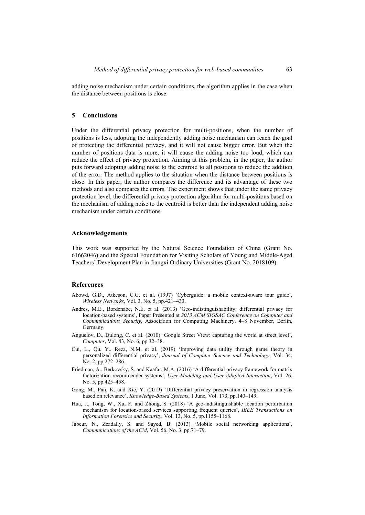adding noise mechanism under certain conditions, the algorithm applies in the case when the distance between positions is close.

### **5 Conclusions**

Under the differential privacy protection for multi-positions, when the number of positions is less, adopting the independently adding noise mechanism can reach the goal of protecting the differential privacy, and it will not cause bigger error. But when the number of positions data is more, it will cause the adding noise too loud, which can reduce the effect of privacy protection. Aiming at this problem, in the paper, the author puts forward adopting adding noise to the centroid to all positions to reduce the addition of the error. The method applies to the situation when the distance between positions is close. In this paper, the author compares the difference and its advantage of these two methods and also compares the errors. The experiment shows that under the same privacy protection level, the differential privacy protection algorithm for multi-positions based on the mechanism of adding noise to the centroid is better than the independent adding noise mechanism under certain conditions.

### **Acknowledgements**

This work was supported by the Natural Science Foundation of China (Grant No. 61662046) and the Special Foundation for Visiting Scholars of Young and Middle-Aged Teachers' Development Plan in Jiangxi Ordinary Universities (Grant No. 2018109).

### **References**

- Abowd, G.D., Atkeson, C.G. et al. (1997) 'Cyberguide: a mobile context-aware tour guide', *Wireless Networks*, Vol. 3, No. 5, pp.421–433.
- Andres, M.E., Bordenabe, N.E. et al. (2013) 'Geo-indistinguishability: differential privacy for location-based systems', Paper Presented at *2013 ACM SIGSAC Conference on Computer and Communications Security*, Association for Computing Machinery. 4–8 November, Berlin, Germany.
- Anguelov, D., Dulong, C. et al. (2010) 'Google Street View: capturing the world at street level', *Computer*, Vol. 43, No. 6, pp.32–38.
- Cui, L., Qu, Y., Reza, N.M. et al. (2019) 'Improving data utility through game theory in personalized differential privacy', *Journal of Computer Science and Technology*, Vol. 34, No. 2, pp.272–286.
- Friedman, A., Berkovsky, S. and Kaafar, M.A. (2016) 'A differential privacy framework for matrix factorization recommender systems', *User Modeling and User-Adapted Interaction*, Vol. 26, No. 5, pp.425–458.
- Gong, M., Pan, K. and Xie, Y. (2019) 'Differential privacy preservation in regression analysis based on relevance', *Knowledge-Based Systems*, 1 June, Vol. 173, pp.140–149.
- Hua, J., Tong, W., Xu, F. and Zhong, S. (2018) 'A geo-indistinguishable location perturbation mechanism for location-based services supporting frequent queries', *IEEE Transactions on Information Forensics and Security*, Vol. 13, No. 5, pp.1155–1168.
- Jabeur, N., Zeadally, S. and Sayed, B. (2013) 'Mobile social networking applications', *Communications of the ACM*, Vol. 56, No. 3, pp.71–79.